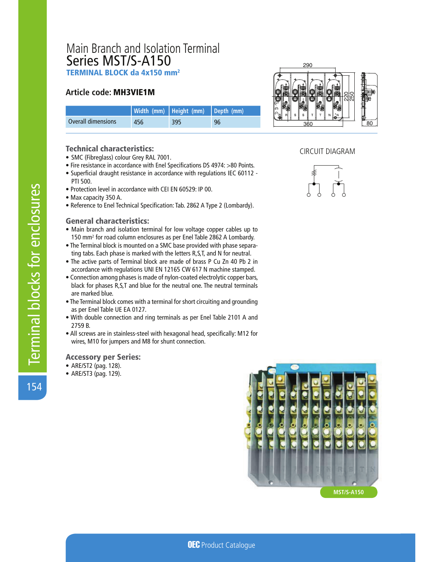# Main Branch and Isolation Terminal Series MST/S-A150 TERMINAL BLOCK da 4x150 mm<sup>2</sup>

## **Article code: MH3VIE1M**

|                    |     | Width (mm) Height (mm) Depth (mm) |    |
|--------------------|-----|-----------------------------------|----|
| Overall dimensions | 456 | 395                               | 96 |

### **Technical characteristics:**

- SMC (Fibreglass) colour Grey RAL 7001.
- Fire resistance in accordance with Enel Specifications DS 4974: >80 Points.
- Superficial draught resistance in accordance with regulations IEC 60112 -PTI 500.
- . Protection level in accordance with CEI EN 60529: IP 00.
- Max capacity 350 A.
- Reference to Enel Technical Specification: Tab. 2862 A Type 2 (Lombardy).

### **General characteristics:**

- Main branch and isolation terminal for low voltage copper cables up to 150 mm<sup>2</sup> for road column enclosures as per Enel Table 2862 A Lombardy.
- . The Terminal block is mounted on a SMC base provided with phase separating tabs. Each phase is marked with the letters R, S, T, and N for neutral.
- . The active parts of Terminal block are made of brass P Cu Zn 40 Pb 2 in accordance with regulations UNI EN 12165 CW 617 N machine stamped.
- Connection among phases is made of nylon-coated electrolytic copper bars, black for phases R,S,T and blue for the neutral one. The neutral terminals are marked blue.
- The Terminal block comes with a terminal for short circuiting and grounding as per Enel Table UE EA 0127.
- . With double connection and ring terminals as per Enel Table 2101 A and 2759 B.
- All screws are in stainless-steel with hexagonal head, specifically: M12 for wires, M10 for jumpers and M8 for shunt connection.

#### **Accessory per Series:**

- ARE/ST2 (pag. 128).
- ARE/ST3 (pag. 129).



### **CIRCUIT DIAGRAM**



154